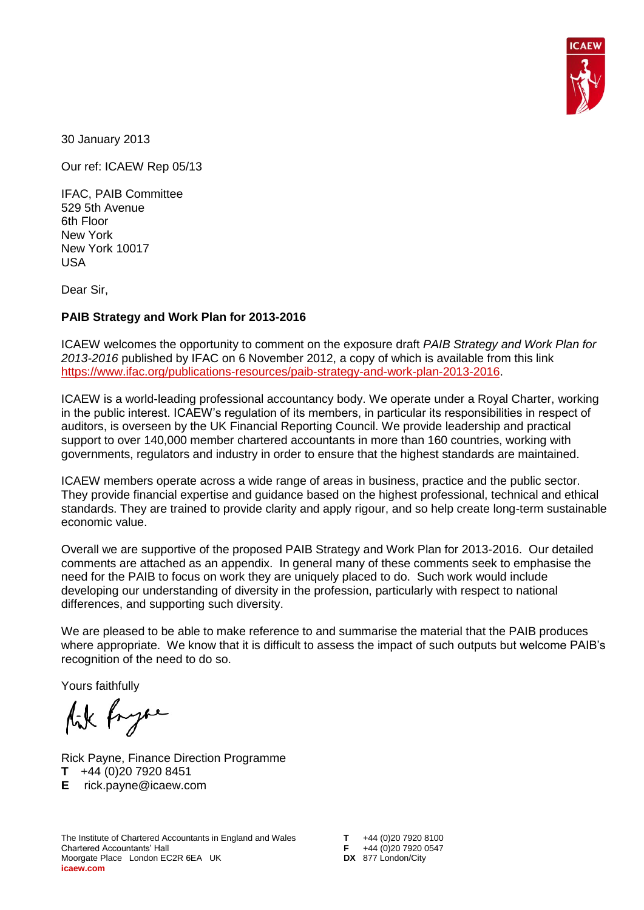

30 January 2013

Our ref: ICAEW Rep 05/13

IFAC, PAIB Committee 529 5th Avenue 6th Floor New York New York 10017 USA

Dear Sir,

## **PAIB Strategy and Work Plan for 2013-2016**

ICAEW welcomes the opportunity to comment on the exposure draft *PAIB Strategy and Work Plan for 2013-2016* published by IFAC on 6 November 2012, a copy of which is available from this link [https://www.ifac.org/publications-resources/paib-strategy-and-work-plan-2013-2016.](https://www.ifac.org/publications-resources/paib-strategy-and-work-plan-2013-2016)

ICAEW is a world-leading professional accountancy body. We operate under a Royal Charter, working in the public interest. ICAEW's regulation of its members, in particular its responsibilities in respect of auditors, is overseen by the UK Financial Reporting Council. We provide leadership and practical support to over 140,000 member chartered accountants in more than 160 countries, working with governments, regulators and industry in order to ensure that the highest standards are maintained.

ICAEW members operate across a wide range of areas in business, practice and the public sector. They provide financial expertise and guidance based on the highest professional, technical and ethical standards. They are trained to provide clarity and apply rigour, and so help create long-term sustainable economic value.

Overall we are supportive of the proposed PAIB Strategy and Work Plan for 2013-2016. Our detailed comments are attached as an appendix. In general many of these comments seek to emphasise the need for the PAIB to focus on work they are uniquely placed to do. Such work would include developing our understanding of diversity in the profession, particularly with respect to national differences, and supporting such diversity.

We are pleased to be able to make reference to and summarise the material that the PAIB produces where appropriate. We know that it is difficult to assess the impact of such outputs but welcome PAIB's recognition of the need to do so.

Yours faithfully

Aik Pryse

Rick Payne, Finance Direction Programme **T** +44 (0)20 7920 8451 **E** rick.payne@icaew.com

The Institute of Chartered Accountants in England and Wales The Institute of Chartered Accountants in England and Wales<br>
Chartered Accountants' Hall **F** +44 (0)20 7920 0547<br>
Moorgate Place London EC2R 6EA UK **DX** 877 London/City Moorgate Place London EC2R 6EA UK **icaew.com**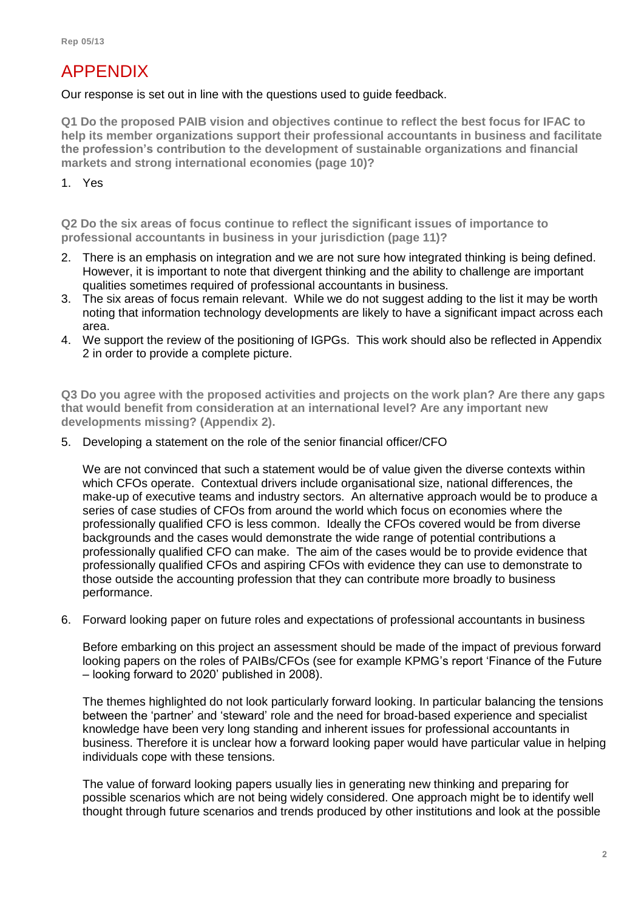## APPENDIX

Our response is set out in line with the questions used to guide feedback.

**Q1 Do the proposed PAIB vision and objectives continue to reflect the best focus for IFAC to help its member organizations support their professional accountants in business and facilitate the profession's contribution to the development of sustainable organizations and financial markets and strong international economies (page 10)?**

1. Yes

**Q2 Do the six areas of focus continue to reflect the significant issues of importance to professional accountants in business in your jurisdiction (page 11)?**

- 2. There is an emphasis on integration and we are not sure how integrated thinking is being defined. However, it is important to note that divergent thinking and the ability to challenge are important qualities sometimes required of professional accountants in business.
- 3. The six areas of focus remain relevant. While we do not suggest adding to the list it may be worth noting that information technology developments are likely to have a significant impact across each area.
- 4. We support the review of the positioning of IGPGs. This work should also be reflected in Appendix 2 in order to provide a complete picture.

**Q3 Do you agree with the proposed activities and projects on the work plan? Are there any gaps that would benefit from consideration at an international level? Are any important new developments missing? (Appendix 2).**

5. Developing a statement on the role of the senior financial officer/CFO

We are not convinced that such a statement would be of value given the diverse contexts within which CFOs operate. Contextual drivers include organisational size, national differences, the make-up of executive teams and industry sectors. An alternative approach would be to produce a series of case studies of CFOs from around the world which focus on economies where the professionally qualified CFO is less common. Ideally the CFOs covered would be from diverse backgrounds and the cases would demonstrate the wide range of potential contributions a professionally qualified CFO can make. The aim of the cases would be to provide evidence that professionally qualified CFOs and aspiring CFOs with evidence they can use to demonstrate to those outside the accounting profession that they can contribute more broadly to business performance.

6. Forward looking paper on future roles and expectations of professional accountants in business

Before embarking on this project an assessment should be made of the impact of previous forward looking papers on the roles of PAIBs/CFOs (see for example KPMG's report 'Finance of the Future – looking forward to 2020' published in 2008).

The themes highlighted do not look particularly forward looking. In particular balancing the tensions between the 'partner' and 'steward' role and the need for broad-based experience and specialist knowledge have been very long standing and inherent issues for professional accountants in business. Therefore it is unclear how a forward looking paper would have particular value in helping individuals cope with these tensions.

The value of forward looking papers usually lies in generating new thinking and preparing for possible scenarios which are not being widely considered. One approach might be to identify well thought through future scenarios and trends produced by other institutions and look at the possible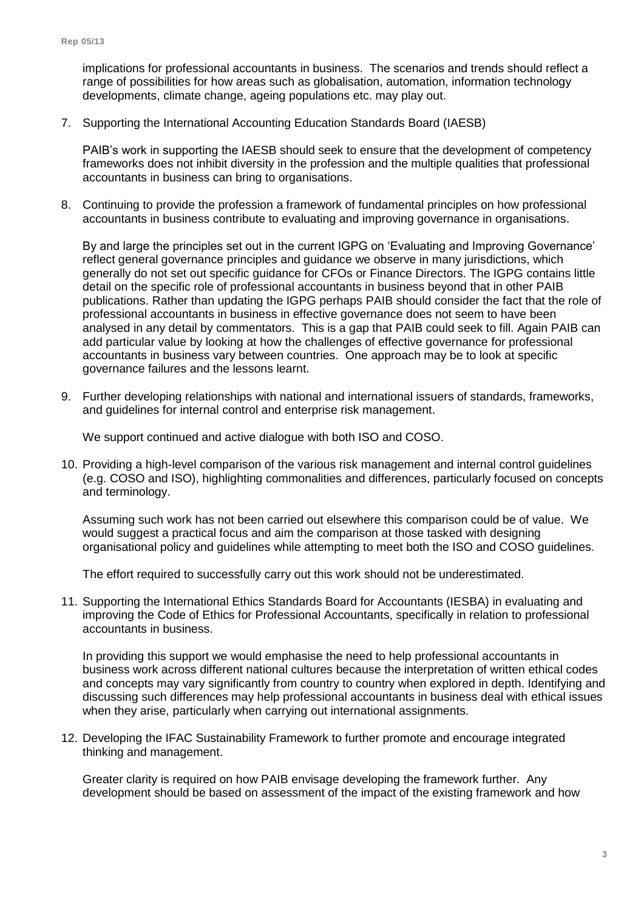implications for professional accountants in business. The scenarios and trends should reflect a range of possibilities for how areas such as globalisation, automation, information technology developments, climate change, ageing populations etc. may play out.

7. Supporting the International Accounting Education Standards Board (IAESB)

PAIB's work in supporting the IAESB should seek to ensure that the development of competency frameworks does not inhibit diversity in the profession and the multiple qualities that professional accountants in business can bring to organisations.

8. Continuing to provide the profession a framework of fundamental principles on how professional accountants in business contribute to evaluating and improving governance in organisations.

By and large the principles set out in the current IGPG on 'Evaluating and Improving Governance' reflect general governance principles and guidance we observe in many jurisdictions, which generally do not set out specific guidance for CFOs or Finance Directors. The IGPG contains little detail on the specific role of professional accountants in business beyond that in other PAIB publications. Rather than updating the IGPG perhaps PAIB should consider the fact that the role of professional accountants in business in effective governance does not seem to have been analysed in any detail by commentators. This is a gap that PAIB could seek to fill. Again PAIB can add particular value by looking at how the challenges of effective governance for professional accountants in business vary between countries. One approach may be to look at specific governance failures and the lessons learnt.

9. Further developing relationships with national and international issuers of standards, frameworks, and guidelines for internal control and enterprise risk management.

We support continued and active dialogue with both ISO and COSO.

10. Providing a high-level comparison of the various risk management and internal control guidelines (e.g. COSO and ISO), highlighting commonalities and differences, particularly focused on concepts and terminology.

Assuming such work has not been carried out elsewhere this comparison could be of value. We would suggest a practical focus and aim the comparison at those tasked with designing organisational policy and guidelines while attempting to meet both the ISO and COSO guidelines.

The effort required to successfully carry out this work should not be underestimated.

11. Supporting the International Ethics Standards Board for Accountants (IESBA) in evaluating and improving the Code of Ethics for Professional Accountants, specifically in relation to professional accountants in business.

In providing this support we would emphasise the need to help professional accountants in business work across different national cultures because the interpretation of written ethical codes and concepts may vary significantly from country to country when explored in depth. Identifying and discussing such differences may help professional accountants in business deal with ethical issues when they arise, particularly when carrying out international assignments.

12. Developing the IFAC Sustainability Framework to further promote and encourage integrated thinking and management.

Greater clarity is required on how PAIB envisage developing the framework further. Any development should be based on assessment of the impact of the existing framework and how